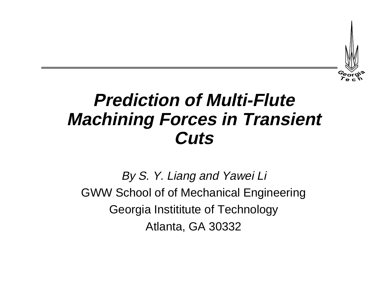

# **Prediction of Multi-FluteMachining Forces in Transient Cuts**

By S. Y. Liang and Yawei Li GWW School of of Mechanical Engineering Georgia Instititute of Technology Atlanta, GA 30332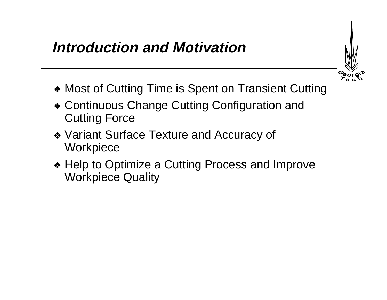#### **Introduction and Motivation**

- 
- ❖ Most of Cutting Time is Spent on Transient Cutting
- ❖ Continuous Change Cutting Configuration and Cutting Force
- ❖ Variant Surface Texture and Accuracy of **Workpiece**
- ❖ Help to Optimize a Cutting Process and Improve Workpiece Quality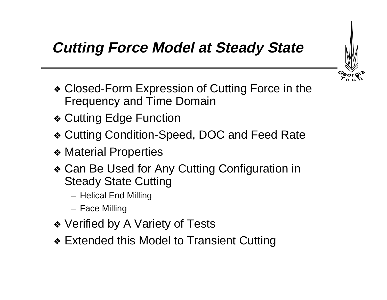

# **Cutting Force Model at Steady State**

- ❖ Closed-Form Expression of Cutting Force in the Frequency and Time Domain
- ❖ Cutting Edge Function
- ❖ Cutting Condition-Speed, DOC and Feed Rate
- ❖ Material Properties
- ❖ Can Be Used for Any Cutting Configuration in Steady State Cutting
	- Helical End Milling
	- Face Milling
- ❖ Verified by A Variety of Tests
- ❖ Extended this Model to Transient Cutting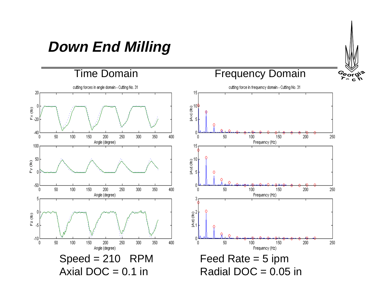# **Down End Milling**



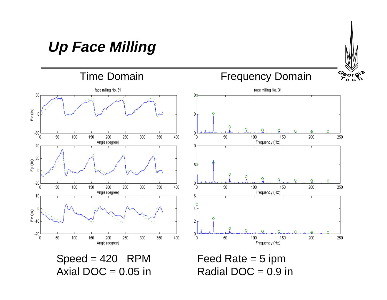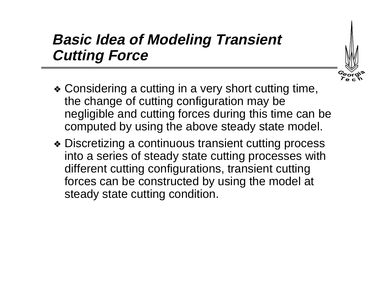# **Basic Idea of Modeling Transient Cutting Force**



- ❖ Considering a cutting in a very short cutting time, the change of cutting configuration may be negligible and cutting forces during this time can be computed by using the above steady state model.
- ❖ Discretizing a continuous transient cutting process into a series of steady state cutting processes with different cutting configurations, transient cutting forces can be constructed by using the model at steady state cutting condition.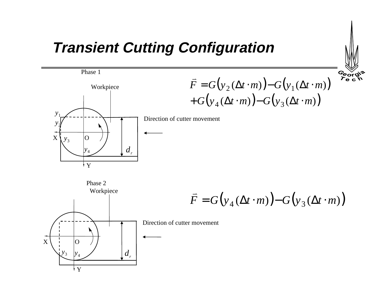#### **Transient Cutting Configuration**





Phase 1

 $\overline{F} = G(y_2(\Delta t \cdot m)) - G(y_1(\Delta t \cdot m))$  $+ G(y_4(\Delta t \cdot m)) - G(y_3(\Delta t \cdot m))$ 

Direction of cutter movement

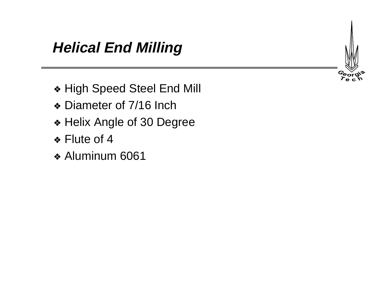

- ❖ High Speed Steel End Mill
- ❖ Diameter of 7/16 Inch
- ❖ Helix Angle of 30 Degree
- ❖ Flute of 4
- ❖ Aluminum 6061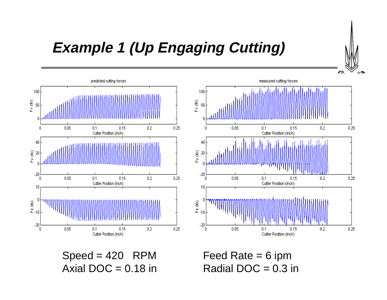

# **Example 1 (Up Engaging Cutting)**





 $Speed = 420$  RPM Feed Rate = 6 ipm Axial DOC =  $0.18$  in Radial DOC =  $0.3$  in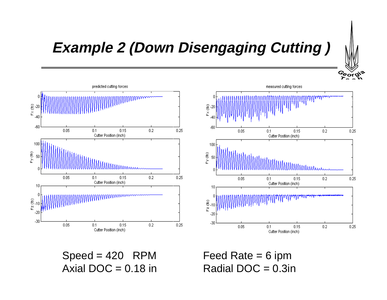

# **Example 2 (Down Disengaging Cutting )**





 $Speed = 420$  RPM Feed Rate = 6 ipm Axial DOC =  $0.18$  in Radial DOC =  $0.3$ in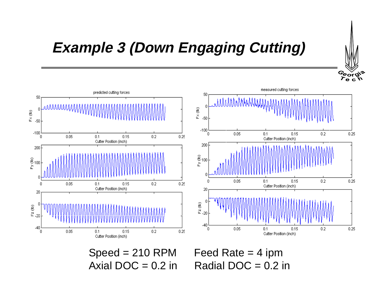

# **Example 3 (Down Engaging Cutting)**



 $Speed = 210$  RPM Feed Rate  $= 4$  ipm



Axial DOC =  $0.2$  in Radial DOC =  $0.2$  in